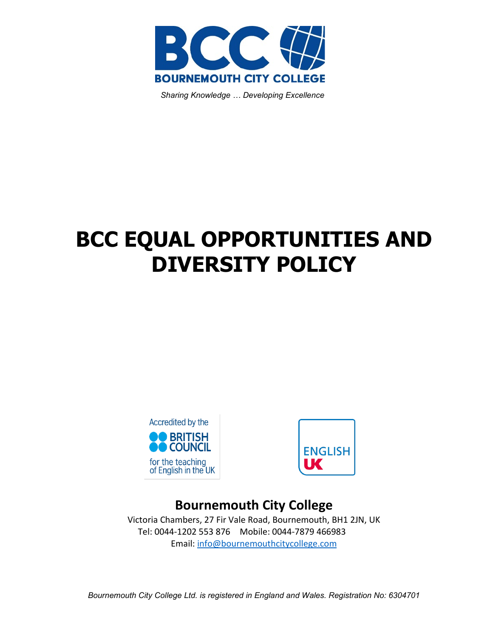

 *Sharing Knowledge … Developing Excellence*

# **BCC EQUAL OPPORTUNITIES AND DIVERSITY POLICY**





# **Bournemouth City College**

Victoria Chambers, 27 Fir Vale Road, Bournemouth, BH1 2JN, UK Tel: 0044-1202 553 876 Mobile: 0044-7879 466983 Email: [info@bournemouthcitycollege.com](mailto:info@bournemouthcitycollege.com)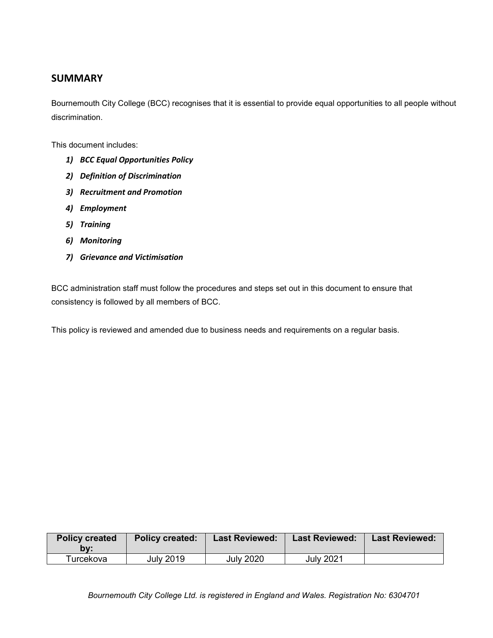#### **SUMMARY**

Bournemouth City College (BCC) recognises that it is essential to provide equal opportunities to all people without discrimination.

This document includes:

- *1) BCC Equal Opportunities Policy*
- *2) Definition of Discrimination*
- *3) Recruitment and Promotion*
- *4) Employment*
- *5) Training*
- *6) Monitoring*
- *7) Grievance and Victimisation*

BCC administration staff must follow the procedures and steps set out in this document to ensure that consistency is followed by all members of BCC.

This policy is reviewed and amended due to business needs and requirements on a regular basis.

| <b>Policy created</b><br>bv: | <b>Policy created:</b> | <b>Last Reviewed:</b> | <b>Last Reviewed:</b> | <b>Last Reviewed:</b> |
|------------------------------|------------------------|-----------------------|-----------------------|-----------------------|
| ™urcekova                    | <b>July 2019</b>       | <b>July 2020</b>      | <b>July 2021</b>      |                       |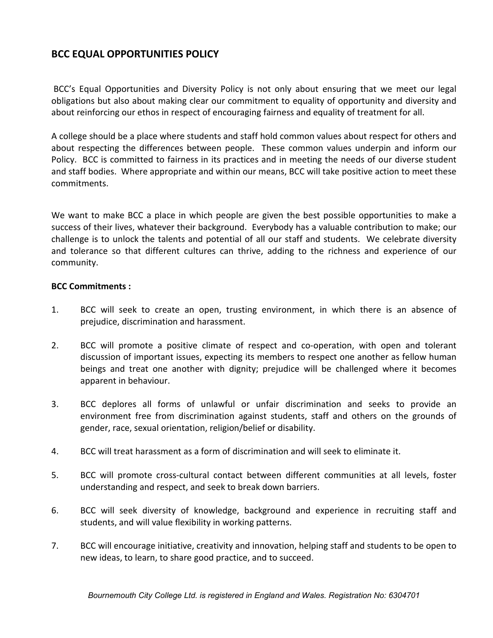# **BCC EQUAL OPPORTUNITIES POLICY**

BCC's Equal Opportunities and Diversity Policy is not only about ensuring that we meet our legal obligations but also about making clear our commitment to equality of opportunity and diversity and about reinforcing our ethos in respect of encouraging fairness and equality of treatment for all.

A college should be a place where students and staff hold common values about respect for others and about respecting the differences between people. These common values underpin and inform our Policy. BCC is committed to fairness in its practices and in meeting the needs of our diverse student and staff bodies. Where appropriate and within our means, BCC will take positive action to meet these commitments.

We want to make BCC a place in which people are given the best possible opportunities to make a success of their lives, whatever their background. Everybody has a valuable contribution to make; our challenge is to unlock the talents and potential of all our staff and students. We celebrate diversity and tolerance so that different cultures can thrive, adding to the richness and experience of our community.

#### **BCC Commitments :**

- 1. BCC will seek to create an open, trusting environment, in which there is an absence of prejudice, discrimination and harassment.
- 2. BCC will promote a positive climate of respect and co-operation, with open and tolerant discussion of important issues, expecting its members to respect one another as fellow human beings and treat one another with dignity; prejudice will be challenged where it becomes apparent in behaviour.
- 3. BCC deplores all forms of unlawful or unfair discrimination and seeks to provide an environment free from discrimination against students, staff and others on the grounds of gender, race, sexual orientation, religion/belief or disability.
- 4. BCC will treat harassment as a form of discrimination and will seek to eliminate it.
- 5. BCC will promote cross-cultural contact between different communities at all levels, foster understanding and respect, and seek to break down barriers.
- 6. BCC will seek diversity of knowledge, background and experience in recruiting staff and students, and will value flexibility in working patterns.
- 7. BCC will encourage initiative, creativity and innovation, helping staff and students to be open to new ideas, to learn, to share good practice, and to succeed.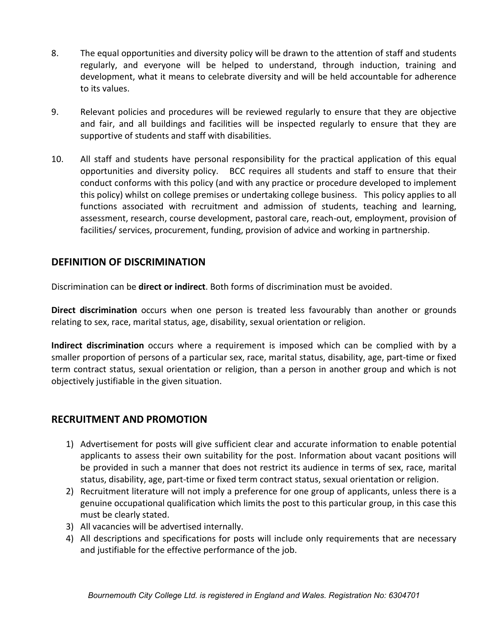- 8. The equal opportunities and diversity policy will be drawn to the attention of staff and students regularly, and everyone will be helped to understand, through induction, training and development, what it means to celebrate diversity and will be held accountable for adherence to its values.
- 9. Relevant policies and procedures will be reviewed regularly to ensure that they are objective and fair, and all buildings and facilities will be inspected regularly to ensure that they are supportive of students and staff with disabilities.
- 10. All staff and students have personal responsibility for the practical application of this equal opportunities and diversity policy. BCC requires all students and staff to ensure that their conduct conforms with this policy (and with any practice or procedure developed to implement this policy) whilst on college premises or undertaking college business. This policy applies to all functions associated with recruitment and admission of students, teaching and learning, assessment, research, course development, pastoral care, reach-out, employment, provision of facilities/ services, procurement, funding, provision of advice and working in partnership.

# **DEFINITION OF DISCRIMINATION**

Discrimination can be **direct or indirect**. Both forms of discrimination must be avoided.

**Direct discrimination** occurs when one person is treated less favourably than another or grounds relating to sex, race, marital status, age, disability, sexual orientation or religion.

**Indirect discrimination** occurs where a requirement is imposed which can be complied with by a smaller proportion of persons of a particular sex, race, marital status, disability, age, part-time or fixed term contract status, sexual orientation or religion, than a person in another group and which is not objectively justifiable in the given situation.

#### **RECRUITMENT AND PROMOTION**

- 1) Advertisement for posts will give sufficient clear and accurate information to enable potential applicants to assess their own suitability for the post. Information about vacant positions will be provided in such a manner that does not restrict its audience in terms of sex, race, marital status, disability, age, part-time or fixed term contract status, sexual orientation or religion.
- 2) Recruitment literature will not imply a preference for one group of applicants, unless there is a genuine occupational qualification which limits the post to this particular group, in this case this must be clearly stated.
- 3) All vacancies will be advertised internally.
- 4) All descriptions and specifications for posts will include only requirements that are necessary and justifiable for the effective performance of the job.